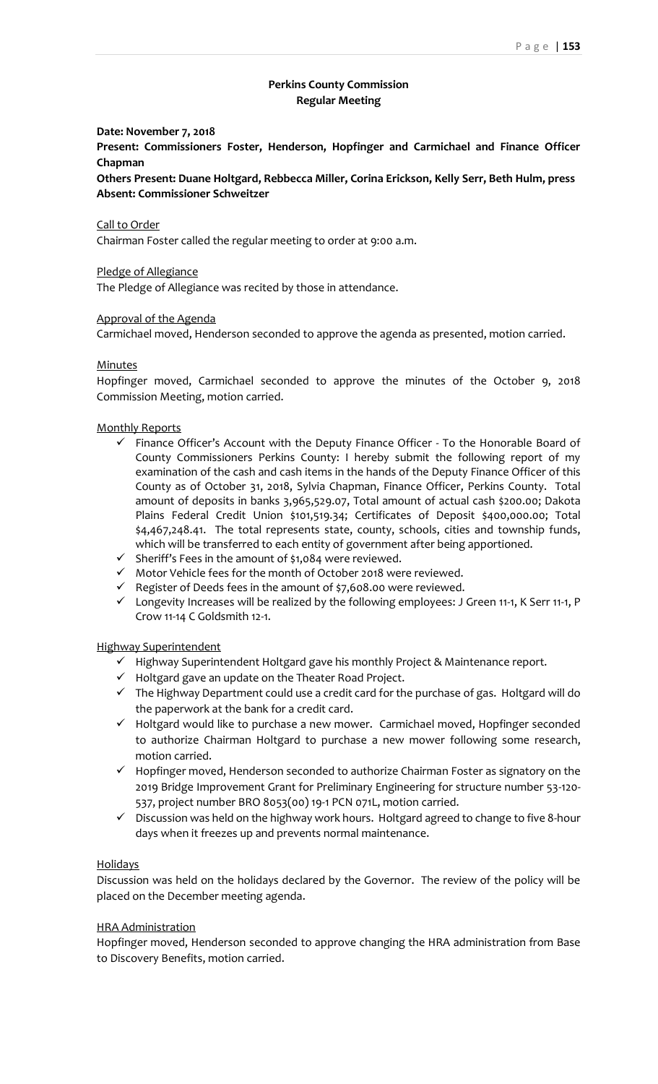### **Perkins County Commission Regular Meeting**

#### **Date: November 7, 2018**

**Present: Commissioners Foster, Henderson, Hopfinger and Carmichael and Finance Officer Chapman**

**Others Present: Duane Holtgard, Rebbecca Miller, Corina Erickson, Kelly Serr, Beth Hulm, press Absent: Commissioner Schweitzer**

#### Call to Order

Chairman Foster called the regular meeting to order at 9:00 a.m.

#### Pledge of Allegiance

The Pledge of Allegiance was recited by those in attendance.

### Approval of the Agenda

Carmichael moved, Henderson seconded to approve the agenda as presented, motion carried.

#### Minutes

Hopfinger moved, Carmichael seconded to approve the minutes of the October 9, 2018 Commission Meeting, motion carried.

#### Monthly Reports

- ✓ Finance Officer's Account with the Deputy Finance Officer To the Honorable Board of County Commissioners Perkins County: I hereby submit the following report of my examination of the cash and cash items in the hands of the Deputy Finance Officer of this County as of October 31, 2018, Sylvia Chapman, Finance Officer, Perkins County. Total amount of deposits in banks 3,965,529.07, Total amount of actual cash \$200.00; Dakota Plains Federal Credit Union \$101,519.34; Certificates of Deposit \$400,000.00; Total \$4,467,248.41. The total represents state, county, schools, cities and township funds, which will be transferred to each entity of government after being apportioned.
- ✓ Sheriff's Fees in the amount of \$1,084 were reviewed.
- ✓ Motor Vehicle fees for the month of October 2018 were reviewed.
- $\checkmark$  Register of Deeds fees in the amount of \$7,608.00 were reviewed.
- ✓ Longevity Increases will be realized by the following employees: J Green 11-1, K Serr 11-1, P Crow 11-14 C Goldsmith 12-1.

#### Highway Superintendent

- ✓ Highway Superintendent Holtgard gave his monthly Project & Maintenance report.
- ✓ Holtgard gave an update on the Theater Road Project.
- ✓ The Highway Department could use a credit card for the purchase of gas. Holtgard will do the paperwork at the bank for a credit card.
- ✓ Holtgard would like to purchase a new mower. Carmichael moved, Hopfinger seconded to authorize Chairman Holtgard to purchase a new mower following some research, motion carried.
- ✓ Hopfinger moved, Henderson seconded to authorize Chairman Foster as signatory on the 2019 Bridge Improvement Grant for Preliminary Engineering for structure number 53-120- 537, project number BRO 8053(00) 19-1 PCN 071L, motion carried.
- ✓ Discussion was held on the highway work hours. Holtgard agreed to change to five 8-hour days when it freezes up and prevents normal maintenance.

#### **Holidays**

Discussion was held on the holidays declared by the Governor. The review of the policy will be placed on the December meeting agenda.

#### HRA Administration

Hopfinger moved, Henderson seconded to approve changing the HRA administration from Base to Discovery Benefits, motion carried.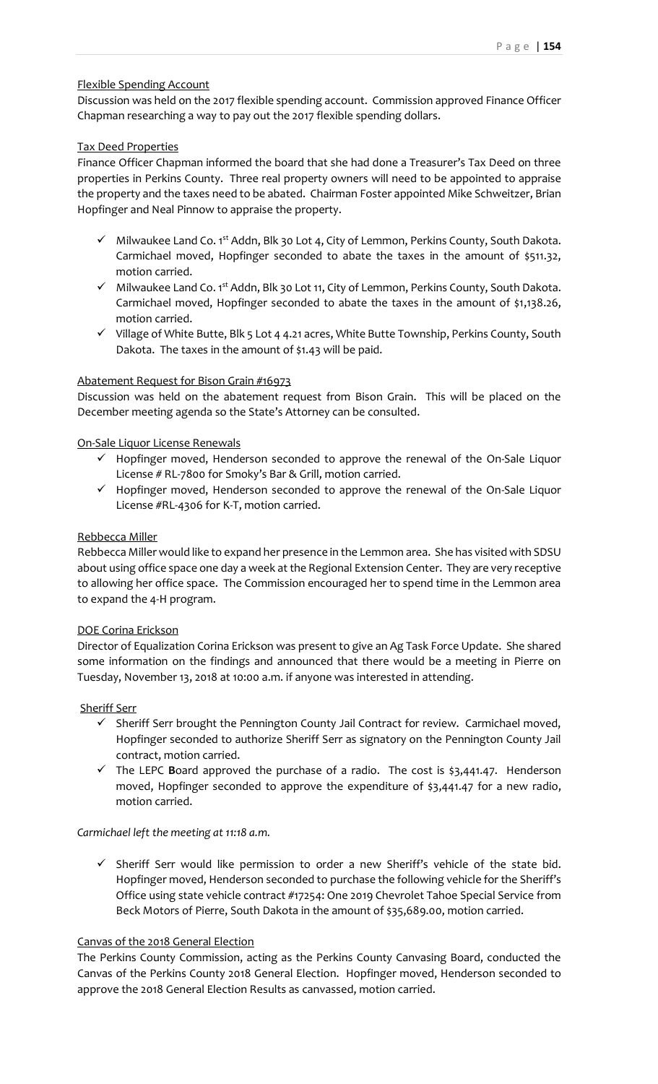# Flexible Spending Account

Discussion was held on the 2017 flexible spending account. Commission approved Finance Officer Chapman researching a way to pay out the 2017 flexible spending dollars.

# Tax Deed Properties

Finance Officer Chapman informed the board that she had done a Treasurer's Tax Deed on three properties in Perkins County. Three real property owners will need to be appointed to appraise the property and the taxes need to be abated. Chairman Foster appointed Mike Schweitzer, Brian Hopfinger and Neal Pinnow to appraise the property.

- ✓ Milwaukee Land Co. 1st Addn, Blk 30 Lot 4, City of Lemmon, Perkins County, South Dakota. Carmichael moved, Hopfinger seconded to abate the taxes in the amount of \$511.32, motion carried.
- ✓ Milwaukee Land Co. 1st Addn, Blk 30 Lot 11, City of Lemmon, Perkins County, South Dakota. Carmichael moved, Hopfinger seconded to abate the taxes in the amount of \$1,138.26, motion carried.
- ✓ Village of White Butte, Blk 5 Lot 4 4.21 acres, White Butte Township, Perkins County, South Dakota. The taxes in the amount of \$1.43 will be paid.

# Abatement Request for Bison Grain #16973

Discussion was held on the abatement request from Bison Grain. This will be placed on the December meeting agenda so the State's Attorney can be consulted.

# On-Sale Liquor License Renewals

- ✓ Hopfinger moved, Henderson seconded to approve the renewal of the On-Sale Liquor License # RL-7800 for Smoky's Bar & Grill, motion carried.
- ✓ Hopfinger moved, Henderson seconded to approve the renewal of the On-Sale Liquor License #RL-4306 for K-T, motion carried.

# Rebbecca Miller

Rebbecca Miller would like to expand her presence in the Lemmon area. She has visited with SDSU about using office space one day a week at the Regional Extension Center. They are very receptive to allowing her office space. The Commission encouraged her to spend time in the Lemmon area to expand the 4-H program.

# DOE Corina Erickson

Director of Equalization Corina Erickson was present to give an Ag Task Force Update. She shared some information on the findings and announced that there would be a meeting in Pierre on Tuesday, November 13, 2018 at 10:00 a.m. if anyone was interested in attending.

# Sheriff Serr

- ✓ Sheriff Serr brought the Pennington County Jail Contract for review. Carmichael moved, Hopfinger seconded to authorize Sheriff Serr as signatory on the Pennington County Jail contract, motion carried.
- ✓ The LEPC **B**oard approved the purchase of a radio. The cost is \$3,441.47. Henderson moved, Hopfinger seconded to approve the expenditure of \$3,441.47 for a new radio, motion carried.

# *Carmichael left the meeting at 11:18 a.m.*

 $\checkmark$  Sheriff Serr would like permission to order a new Sheriff's vehicle of the state bid. Hopfinger moved, Henderson seconded to purchase the following vehicle for the Sheriff's Office using state vehicle contract #17254: One 2019 Chevrolet Tahoe Special Service from Beck Motors of Pierre, South Dakota in the amount of \$35,689.00, motion carried.

# Canvas of the 2018 General Election

The Perkins County Commission, acting as the Perkins County Canvasing Board, conducted the Canvas of the Perkins County 2018 General Election. Hopfinger moved, Henderson seconded to approve the 2018 General Election Results as canvassed, motion carried.